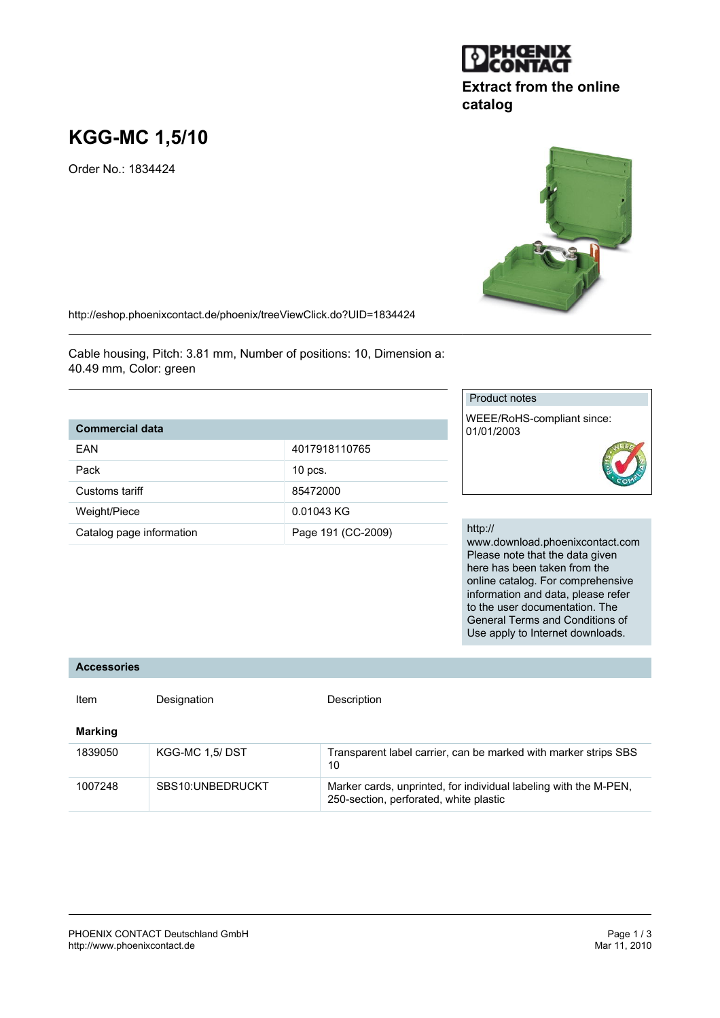# **KGG-MC 1,5/10**

Order No.: 1834424

http://eshop.phoenixcontact.de/phoenix/treeViewClick.do?UID=1834424

Cable housing, Pitch: 3.81 mm, Number of positions: 10, Dimension a: 40.49 mm, Color: green

# **Commercial data**

| <b>FAN</b>               | 4017918110765      |
|--------------------------|--------------------|
|                          |                    |
| Pack                     | $10$ pcs.          |
| Customs tariff           | 85472000           |
| Weight/Piece             | 0.01043 KG         |
| Catalog page information | Page 191 (CC-2009) |

# Product notes

WEEE/RoHS-compliant since: 01/01/2003

### http://

www.download.phoenixcontact.com Please note that the data given here has been taken from the online catalog. For comprehensive information and data, please refer to the user documentation. The General Terms and Conditions of Use apply to Internet downloads.

#### **Accessories**

| Item    | Designation      | Description                                                                                                |
|---------|------------------|------------------------------------------------------------------------------------------------------------|
| Marking |                  |                                                                                                            |
| 1839050 | KGG-MC 1,5/DST   | Transparent label carrier, can be marked with marker strips SBS<br>10                                      |
| 1007248 | SBS10:UNBEDRUCKT | Marker cards, unprinted, for individual labeling with the M-PEN,<br>250-section, perforated, white plastic |





**catalog**

**Extract from the online**

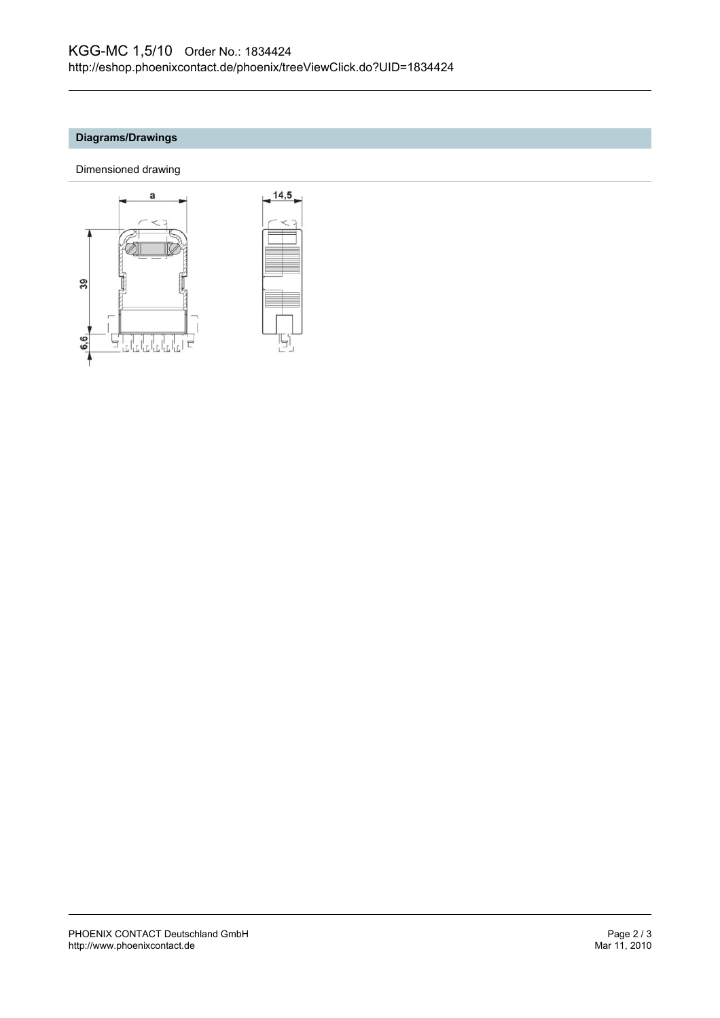# **Diagrams/Drawings**

Dimensioned drawing